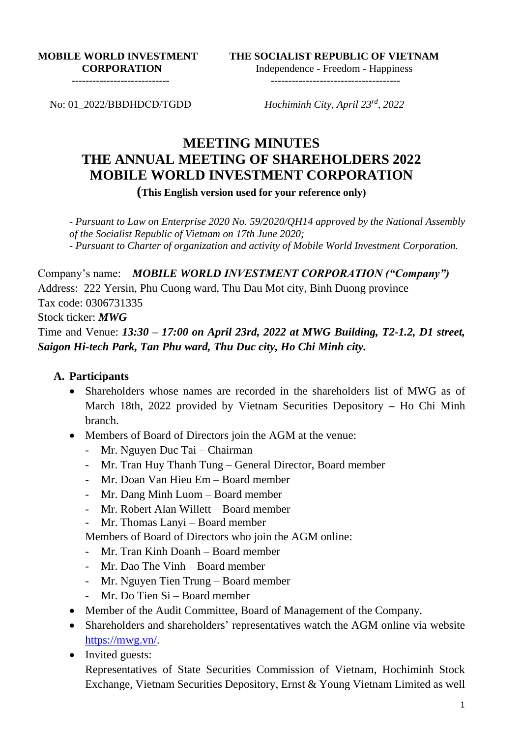**MOBILE WORLD INVESTMENT CORPORATION** 

**THE SOCIALIST REPUBLIC OF VIETNAM** Independence - Freedom - Happiness

**----------------------------**

**-------------------------------------**

No: 01\_2022/BBĐHĐCĐ/TGDĐ

*Hochiminh City, April 23rd , 2022*

# **MEETING MINUTES THE ANNUAL MEETING OF SHAREHOLDERS 2022 MOBILE WORLD INVESTMENT CORPORATION**

**(This English version used for your reference only)**

*- Pursuant to Law on Enterprise 2020 No. 59/2020/QH14 approved by the National Assembly of the Socialist Republic of Vietnam on 17th June 2020; - Pursuant to Charter of organization and activity of Mobile World Investment Corporation.*

Company's name: *MOBILE WORLD INVESTMENT CORPORATION ("Company")* Address: 222 Yersin, Phu Cuong ward, Thu Dau Mot city, Binh Duong province Tax code: 0306731335 Stock ticker: *MWG*

Time and Venue: *13:30 – 17:00 on April 23rd, 2022 at MWG Building, T2-1.2, D1 street, Saigon Hi-tech Park, Tan Phu ward, Thu Duc city, Ho Chi Minh city.*

## **A. Participants**

- Shareholders whose names are recorded in the shareholders list of MWG as of March 18th, 2022 provided by Vietnam Securities Depository **–** Ho Chi Minh branch.
- Members of Board of Directors join the AGM at the venue:
	- Mr. Nguyen Duc Tai Chairman
	- Mr. Tran Huy Thanh Tung General Director, Board member
	- Mr. Doan Van Hieu Em Board member
	- Mr. Dang Minh Luom Board member
	- Mr. Robert Alan Willett Board member
	- Mr. Thomas Lanyi Board member

Members of Board of Directors who join the AGM online:

- Mr. Tran Kinh Doanh Board member
- Mr. Dao The Vinh Board member
- Mr. Nguyen Tien Trung Board member
- Mr. Do Tien Si Board member
- Member of the Audit Committee, Board of Management of the Company.
- Shareholders and shareholders' representatives watch the AGM online via website [https://mwg.vn/.](https://mwg.vn/)
- Invited guests:

Representatives of State Securities Commission of Vietnam, Hochiminh Stock Exchange, Vietnam Securities Depository, Ernst & Young Vietnam Limited as well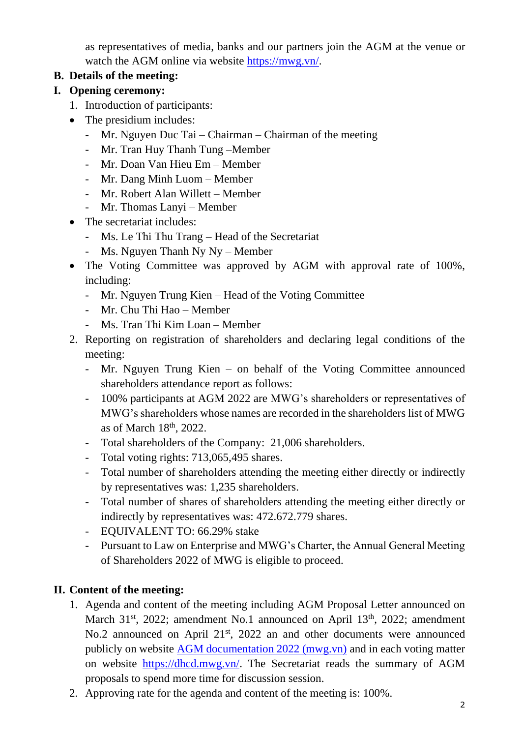as representatives of media, banks and our partners join the AGM at the venue or watch the AGM online via website [https://mwg.vn/.](https://mwg.vn/)

## **B. Details of the meeting:**

- **I. Opening ceremony:**
	- 1. Introduction of participants:
	- The presidium includes:
		- Mr. Nguyen Duc Tai Chairman Chairman of the meeting
		- Mr. Tran Huy Thanh Tung –Member
		- Mr. Doan Van Hieu Em Member
		- Mr. Dang Minh Luom Member
		- Mr. Robert Alan Willett Member
		- Mr. Thomas Lanyi Member
	- The secretariat includes:
		- Ms. Le Thi Thu Trang Head of the Secretariat
		- Ms. Nguyen Thanh Ny Ny Member
	- The Voting Committee was approved by AGM with approval rate of 100%, including:
		- Mr. Nguyen Trung Kien Head of the Voting Committee
		- Mr. Chu Thi Hao Member
		- Ms. Tran Thi Kim Loan Member
	- 2. Reporting on registration of shareholders and declaring legal conditions of the meeting:
		- Mr. Nguyen Trung Kien on behalf of the Voting Committee announced shareholders attendance report as follows:
		- 100% participants at AGM 2022 are MWG's shareholders or representatives of MWG's shareholders whose names are recorded in the shareholders list of MWG as of March 18<sup>th</sup>, 2022.
		- Total shareholders of the Company: 21,006 shareholders.
		- Total voting rights: 713,065,495 shares.
		- Total number of shareholders attending the meeting either directly or indirectly by representatives was: 1,235 shareholders.
		- Total number of shares of shareholders attending the meeting either directly or indirectly by representatives was: 472.672.779 shares.
		- EQUIVALENT TO: 66.29% stake
		- Pursuant to Law on Enterprise and MWG's Charter, the Annual General Meeting of Shareholders 2022 of MWG is eligible to proceed.

## **II. Content of the meeting:**

- 1. Agenda and content of the meeting including AGM Proposal Letter announced on March  $31<sup>st</sup>$ , 2022; amendment No.1 announced on April  $13<sup>th</sup>$ , 2022; amendment No.2 announced on April 21<sup>st</sup>, 2022 an and other documents were announced publicly on website [AGM documentation 2022 \(mwg.vn\)](https://mwg.vn/eng/announcements/agm-documentation-2022-2248) and in each voting matter on website [https://dhcd.mwg.vn/.](https://dhcd.mwg.vn/) The Secretariat reads the summary of AGM proposals to spend more time for discussion session.
- 2. Approving rate for the agenda and content of the meeting is: 100%.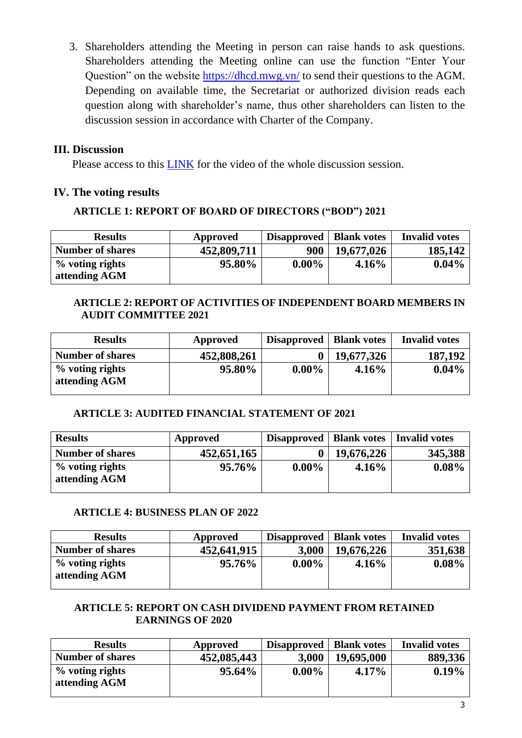3. Shareholders attending the Meeting in person can raise hands to ask questions. Shareholders attending the Meeting online can use the function "Enter Your Question" on the website<https://dhcd.mwg.vn/> to send their questions to the AGM. Depending on available time, the Secretariat or authorized division reads each question along with shareholder's name, thus other shareholders can listen to the discussion session in accordance with Charter of the Company.

## **III. Discussion**

Please access to this [LINK](https://www.youtube.com/watch?v=NckSFugLrzE) for the video of the whole discussion session.

## **IV. The voting results**

## **ARTICLE 1: REPORT OF BOARD OF DIRECTORS ("BOD") 2021**

| <b>Results</b>                      | Approved    | Disapproved | <b>Blank votes</b> | <b>Invalid votes</b> |
|-------------------------------------|-------------|-------------|--------------------|----------------------|
| <b>Number of shares</b>             | 452,809,711 | 900         | 19,677,026         | 185,142              |
| $\%$ voting rights<br>attending AGM | 95.80%      | $0.00\%$    | 4.16%              | $0.04\%$             |

## **ARTICLE 2: REPORT OF ACTIVITIES OF INDEPENDENT BOARD MEMBERS IN AUDIT COMMITTEE 2021**

| <b>Results</b>                      | Approved    | Disapproved | <b>Blank votes</b> | <b>Invalid votes</b> |
|-------------------------------------|-------------|-------------|--------------------|----------------------|
| <b>Number of shares</b>             | 452,808,261 |             | 19,677,326         | 187,192              |
| $\%$ voting rights<br>attending AGM | 95.80%      | $0.00\%$    | $4.16\%$           | $0.04\%$             |

## **ARTICLE 3: AUDITED FINANCIAL STATEMENT OF 2021**

| <b>Results</b>                   | Approved    | Disapproved | <b>Blank votes</b> | Invalid votes |
|----------------------------------|-------------|-------------|--------------------|---------------|
| <b>Number of shares</b>          | 452,651,165 |             | 19,676,226         | 345,388       |
| % voting rights<br>attending AGM | 95.76%      | $0.00\%$    | $4.16\%$           | $0.08\%$      |

## **ARTICLE 4: BUSINESS PLAN OF 2022**

| <b>Results</b>                   | Approved    | <b>Disapproved</b> | <b>Blank votes</b> | <b>Invalid votes</b> |
|----------------------------------|-------------|--------------------|--------------------|----------------------|
| <b>Number of shares</b>          | 452,641,915 | 3.000              | 19,676,226         | 351,638              |
| % voting rights<br>attending AGM | 95.76%      | $0.00\%$           | 4.16%              | $0.08\%$             |

## **ARTICLE 5: REPORT ON CASH DIVIDEND PAYMENT FROM RETAINED EARNINGS OF 2020**

| <b>Results</b>                      | Approved    | <b>Disapproved</b> | <b>Blank votes</b> | <b>Invalid votes</b> |
|-------------------------------------|-------------|--------------------|--------------------|----------------------|
| <b>Number of shares</b>             | 452,085,443 | 3,000              | 19,695,000         | 889,336              |
| $\%$ voting rights<br>attending AGM | 95.64%      | $0.00\%$           | $4.17\%$           | $0.19\%$             |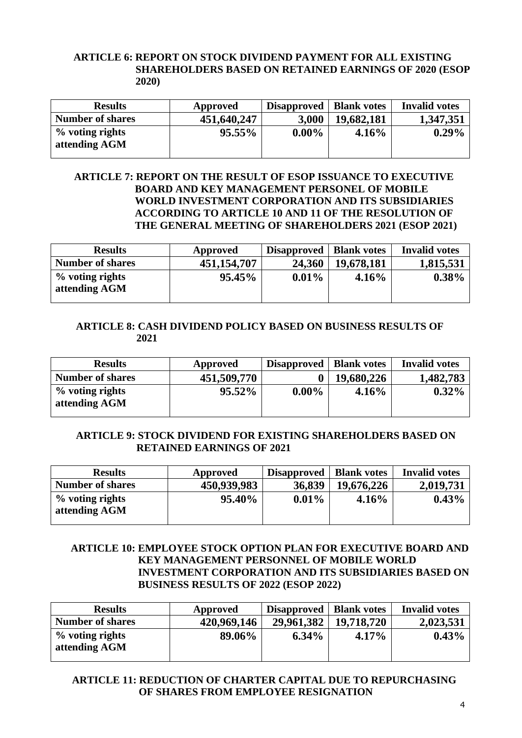#### **ARTICLE 6: REPORT ON STOCK DIVIDEND PAYMENT FOR ALL EXISTING SHAREHOLDERS BASED ON RETAINED EARNINGS OF 2020 (ESOP 2020)**

| <b>Results</b>                      | Approved    | <b>Disapproved</b> | <b>Blank votes</b> | <b>Invalid votes</b> |
|-------------------------------------|-------------|--------------------|--------------------|----------------------|
| <b>Number of shares</b>             | 451,640,247 | 3,000              | 19,682,181         | 1,347,351            |
| $\%$ voting rights<br>attending AGM | 95.55%      | $0.00\%$           | $4.16\%$           | $0.29\%$             |

#### **ARTICLE 7: REPORT ON THE RESULT OF ESOP ISSUANCE TO EXECUTIVE BOARD AND KEY MANAGEMENT PERSONEL OF MOBILE WORLD INVESTMENT CORPORATION AND ITS SUBSIDIARIES ACCORDING TO ARTICLE 10 AND 11 OF THE RESOLUTION OF THE GENERAL MEETING OF SHAREHOLDERS 2021 (ESOP 2021)**

| <b>Results</b>                   | Approved      | Disapproved | <b>Blank votes</b> | <b>Invalid votes</b> |
|----------------------------------|---------------|-------------|--------------------|----------------------|
| <b>Number of shares</b>          | 451, 154, 707 | 24,360      | 19,678,181         | 1,815,531            |
| % voting rights<br>attending AGM | 95.45%        | $0.01\%$    | 4.16%              | $0.38\%$             |

#### **ARTICLE 8: CASH DIVIDEND POLICY BASED ON BUSINESS RESULTS OF 2021**

| <b>Results</b>                   | Approved    | Disapproved | <b>Blank votes</b> | <b>Invalid votes</b> |
|----------------------------------|-------------|-------------|--------------------|----------------------|
| <b>Number of shares</b>          | 451,509,770 |             | 19,680,226         | 1,482,783            |
| % voting rights<br>attending AGM | $95.52\%$   | $0.00\%$    | $4.16\%$           | $0.32\%$             |

## **ARTICLE 9: STOCK DIVIDEND FOR EXISTING SHAREHOLDERS BASED ON RETAINED EARNINGS OF 2021**

| <b>Results</b>                      | Approved    | <b>Disapproved</b> | <b>Blank votes</b> | <b>Invalid votes</b> |
|-------------------------------------|-------------|--------------------|--------------------|----------------------|
| <b>Number of shares</b>             | 450,939,983 | 36,839             | 19,676,226         | 2,019,731            |
| $\%$ voting rights<br>attending AGM | 95.40%      | $0.01\%$           | 4.16%              | 0.43%                |

#### **ARTICLE 10: EMPLOYEE STOCK OPTION PLAN FOR EXECUTIVE BOARD AND KEY MANAGEMENT PERSONNEL OF MOBILE WORLD INVESTMENT CORPORATION AND ITS SUBSIDIARIES BASED ON BUSINESS RESULTS OF 2022 (ESOP 2022)**

| <b>Results</b>                      | Approved    | <b>Disapproved</b> | <b>Blank votes</b> | <b>Invalid votes</b> |
|-------------------------------------|-------------|--------------------|--------------------|----------------------|
| <b>Number of shares</b>             | 420,969,146 | 29,961,382         | 19,718,720         | 2,023,531            |
| $\%$ voting rights<br>attending AGM | 89.06%      | $6.34\%$           | $4.17\%$           | 0.43%                |

#### **ARTICLE 11: REDUCTION OF CHARTER CAPITAL DUE TO REPURCHASING OF SHARES FROM EMPLOYEE RESIGNATION**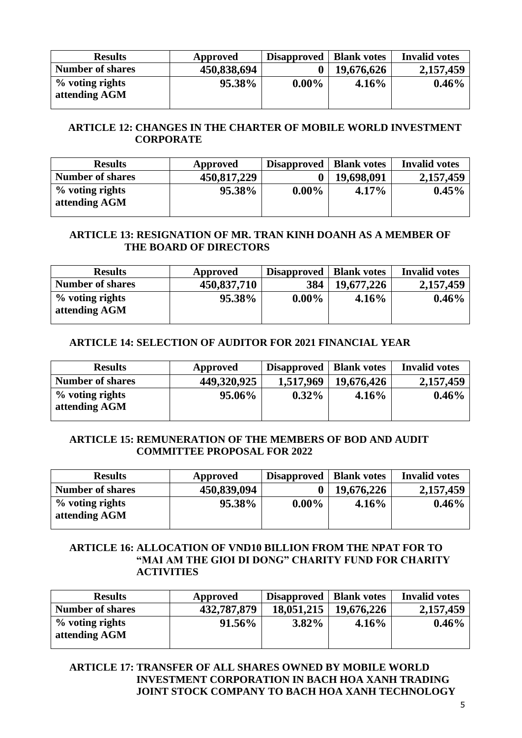| <b>Results</b>                   | Approved    | <b>Disapproved</b> | <b>Blank votes</b> | <b>Invalid votes</b> |
|----------------------------------|-------------|--------------------|--------------------|----------------------|
| <b>Number of shares</b>          | 450,838,694 |                    | 19,676,626         | 2,157,459            |
| % voting rights<br>attending AGM | 95.38%      | $0.00\%$           | 4.16%              | $0.46\%$             |

## **ARTICLE 12: CHANGES IN THE CHARTER OF MOBILE WORLD INVESTMENT CORPORATE**

| <b>Results</b>                   | Approved    | <b>Disapproved</b> | <b>Blank votes</b> | <b>Invalid votes</b> |
|----------------------------------|-------------|--------------------|--------------------|----------------------|
| <b>Number of shares</b>          | 450,817,229 |                    | 19,698,091         | 2,157,459            |
| % voting rights<br>attending AGM | 95.38%      | $0.00\%$           | $4.17\%$           | $0.45\%$             |

#### **ARTICLE 13: RESIGNATION OF MR. TRAN KINH DOANH AS A MEMBER OF THE BOARD OF DIRECTORS**

| <b>Results</b>                   | Approved    | Disapproved | <b>Blank votes</b> | <b>Invalid votes</b> |
|----------------------------------|-------------|-------------|--------------------|----------------------|
| <b>Number of shares</b>          | 450,837,710 | 384         | 19,677,226         | 2,157,459            |
| % voting rights<br>attending AGM | 95.38%      | $0.00\%$    | 4.16%              | $0.46\%$             |

#### **ARTICLE 14: SELECTION OF AUDITOR FOR 2021 FINANCIAL YEAR**

| <b>Results</b>                      | Approved    | Disapproved | <b>Blank votes</b> | <b>Invalid votes</b> |
|-------------------------------------|-------------|-------------|--------------------|----------------------|
| <b>Number of shares</b>             | 449,320,925 | 1,517,969   | 19,676,426         | 2,157,459            |
| $\%$ voting rights<br>attending AGM | 95.06%      | $0.32\%$    | 4.16%              | $0.46\%$             |

#### **ARTICLE 15: REMUNERATION OF THE MEMBERS OF BOD AND AUDIT COMMITTEE PROPOSAL FOR 2022**

| <b>Results</b>                      | Approved    | Disapproved | <b>Blank votes</b> | <b>Invalid votes</b> |
|-------------------------------------|-------------|-------------|--------------------|----------------------|
| <b>Number of shares</b>             | 450,839,094 |             | 19,676,226         | 2,157,459            |
| $\%$ voting rights<br>attending AGM | 95.38%      | $0.00\%$    | $4.16\%$           | $0.46\%$             |

#### **ARTICLE 16: ALLOCATION OF VND10 BILLION FROM THE NPAT FOR TO "MAI AM THE GIOI DI DONG" CHARITY FUND FOR CHARITY ACTIVITIES**

| <b>Results</b>                   | Approved    | Disapproved   Blank votes |            | <b>Invalid votes</b> |
|----------------------------------|-------------|---------------------------|------------|----------------------|
| <b>Number of shares</b>          | 432,787,879 | 18,051,215                | 19,676,226 | 2,157,459            |
| % voting rights<br>attending AGM | 91.56%      | $3.82\%$                  | $4.16\%$   | $0.46\%$             |

## **ARTICLE 17: TRANSFER OF ALL SHARES OWNED BY MOBILE WORLD INVESTMENT CORPORATION IN BACH HOA XANH TRADING JOINT STOCK COMPANY TO BACH HOA XANH TECHNOLOGY**